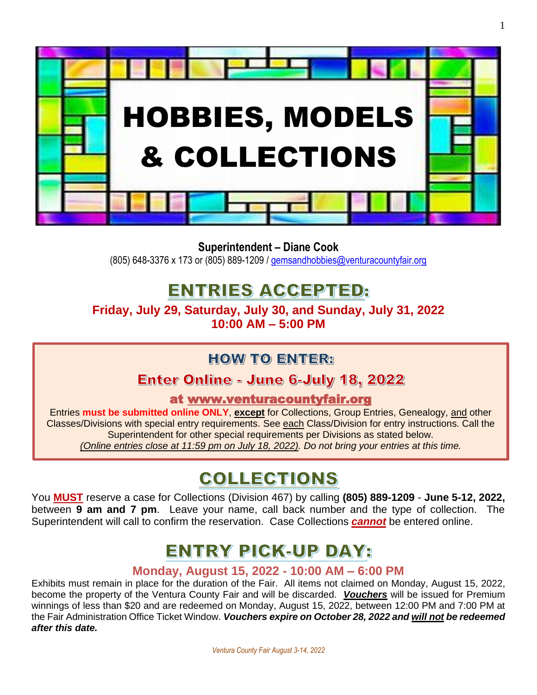

**Superintendent – Diane Cook**

(805) 648-3376 x 173 or (805) 889-1209 / [gemsandhobbies@venturacountyfair.org](mailto:gemsandhobbies@venturacountyfair.org)

## **ENTRIES ACCEPTED:**

**Friday, July 29, Saturday, July 30, and Sunday, July 31, 2022 10:00 AM – 5:00 PM**

## **HOW TO ENTER:**

## Enter Online - June 6-July 18, 2022

at [www.venturacountyfair.org](http://www.venturacountyfair.org/)

Entries **must be submitted online ONLY**, **except** for Collections, Group Entries, Genealogy, and other Classes/Divisions with special entry requirements. See each Class/Division for entry instructions. Call the Superintendent for other special requirements per Divisions as stated below. *(Online entries close at 11:59 pm on July 18, 2022). Do not bring your entries at this time.*

## COLLECTIONS

You **MUST** reserve a case for Collections (Division 467) by calling **(805) 889-1209** - **June 5-12, 2022,** between **9 am and 7 pm**. Leave your name, call back number and the type of collection. The Superintendent will call to confirm the reservation. Case Collections *cannot* be entered online.

## **ENTRY PICK-UP DAY:**

## **Monday, August 15, 2022 - 10:00 AM – 6:00 PM**

Exhibits must remain in place for the duration of the Fair. All items not claimed on Monday, August 15, 2022, become the property of the Ventura County Fair and will be discarded. *Vouchers* will be issued for Premium winnings of less than \$20 and are redeemed on Monday, August 15, 2022, between 12:00 PM and 7:00 PM at the Fair Administration Office Ticket Window. *Vouchers expire on October 28, 2022 and will not be redeemed after this date.*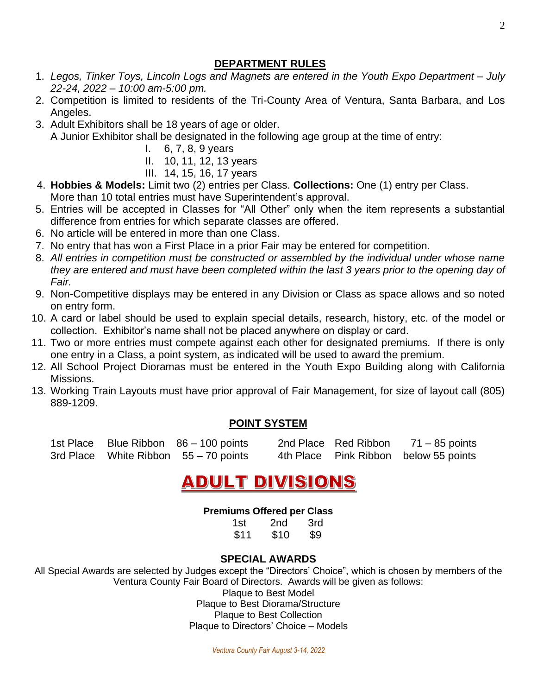## **DEPARTMENT RULES**

- 1. *Legos, Tinker Toys, Lincoln Logs and Magnets are entered in the Youth Expo Department – July 22-24, 2022 – 10:00 am-5:00 pm.*
- 2. Competition is limited to residents of the Tri-County Area of Ventura, Santa Barbara, and Los Angeles.
- 3. Adult Exhibitors shall be 18 years of age or older. A Junior Exhibitor shall be designated in the following age group at the time of entry:
	- I. 6, 7, 8, 9 years
	- II. 10, 11, 12, 13 years
	- III. 14, 15, 16, 17 years
- 4. **Hobbies & Models:** Limit two (2) entries per Class. **Collections:** One (1) entry per Class. More than 10 total entries must have Superintendent's approval.
- 5. Entries will be accepted in Classes for "All Other" only when the item represents a substantial difference from entries for which separate classes are offered.
- 6. No article will be entered in more than one Class.
- 7. No entry that has won a First Place in a prior Fair may be entered for competition.
- 8. *All entries in competition must be constructed or assembled by the individual under whose name they are entered and must have been completed within the last 3 years prior to the opening day of Fair.*
- 9. Non-Competitive displays may be entered in any Division or Class as space allows and so noted on entry form.
- 10. A card or label should be used to explain special details, research, history, etc. of the model or collection. Exhibitor's name shall not be placed anywhere on display or card.
- 11. Two or more entries must compete against each other for designated premiums. If there is only one entry in a Class, a point system, as indicated will be used to award the premium.
- 12. All School Project Dioramas must be entered in the Youth Expo Building along with California Missions.
- 13. Working Train Layouts must have prior approval of Fair Management, for size of layout call (805) 889-1209.

## **POINT SYSTEM**

|  | 1st Place Blue Ribbon 86 – 100 points |  | 2nd Place Red Ribbon $71 - 85$ points |
|--|---------------------------------------|--|---------------------------------------|
|  | 3rd Place White Ribbon 55 - 70 points |  | 4th Place Pink Ribbon below 55 points |

## **ADULT DIVISIONS**

## **Premiums Offered per Class**

| 1st  | 2nd  | 3rd |
|------|------|-----|
| \$11 | \$10 | \$9 |

## **SPECIAL AWARDS**

All Special Awards are selected by Judges except the "Directors' Choice", which is chosen by members of the Ventura County Fair Board of Directors. Awards will be given as follows: Plaque to Best Model Plaque to Best Diorama/Structure

Plaque to Best Collection

Plaque to Directors' Choice – Models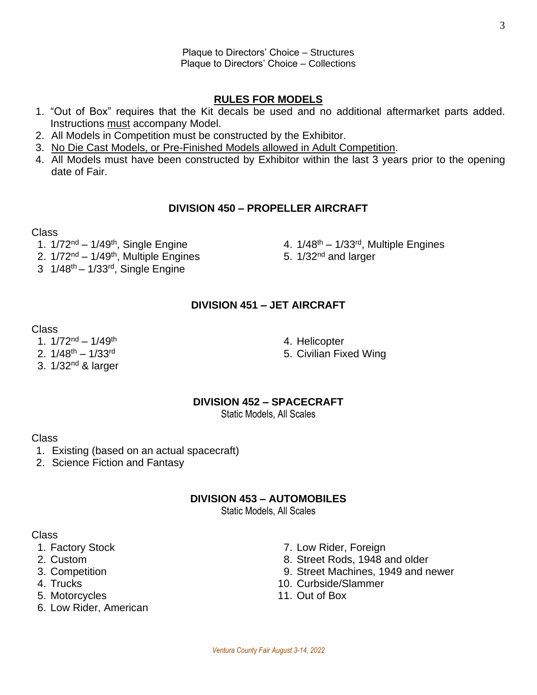*Ventura County Fair August 3-14, 2022*

#### Plaque to Directors' Choice – Structures Plaque to Directors' Choice – Collections

## **RULES FOR MODELS**

- 1. "Out of Box" requires that the Kit decals be used and no additional aftermarket parts added. Instructions must accompany Model.
- 2. All Models in Competition must be constructed by the Exhibitor.
- 3. No Die Cast Models, or Pre-Finished Models allowed in Adult Competition.
- 4. All Models must have been constructed by Exhibitor within the last 3 years prior to the opening date of Fair.

#### **DIVISION 450 – PROPELLER AIRCRAFT**

#### Class

- 1.  $1/72^{nd} 1/49^{th}$ , Single Engine , Single Engine **4. 1/48<sup>th</sup> – 1/33<sup>rd</sup>, Multiple Engines**
- 2.  $1/72<sup>nd</sup> 1/49<sup>th</sup>$ , Multiple Engines , Multiple Engines 6. 1/32<sup>nd</sup> and larger
- $3 \cdot 1/48^{\text{th}} 1/33^{\text{rd}}$ , Single Engine

## **DIVISION 451 – JET AIRCRAFT**

#### Class

- 1.  $1/72^{nd} 1/49^{th}$
- 2.  $1/48^{th} 1/33^{rd}$
- 3. 1/32nd & larger
- 4. Helicopter
- 5. Civilian Fixed Wing

## **DIVISION 452 – SPACECRAFT**

Static Models, All Scales

## Class

- 1. Existing (based on an actual spacecraft)
- 2. Science Fiction and Fantasy

## **DIVISION 453 – AUTOMOBILES**

Static Models, All Scales

- 
- 
- 
- 
- 5. Motorcycles 11. Out of Box
- 6. Low Rider, American
- 1. Factory Stock 7. Low Rider, Foreign
- 2. Custom 8. Street Rods, 1948 and older
- 3. Competition 9. Street Machines, 1949 and newer
- 4. Trucks 10. Curbside/Slammer
	-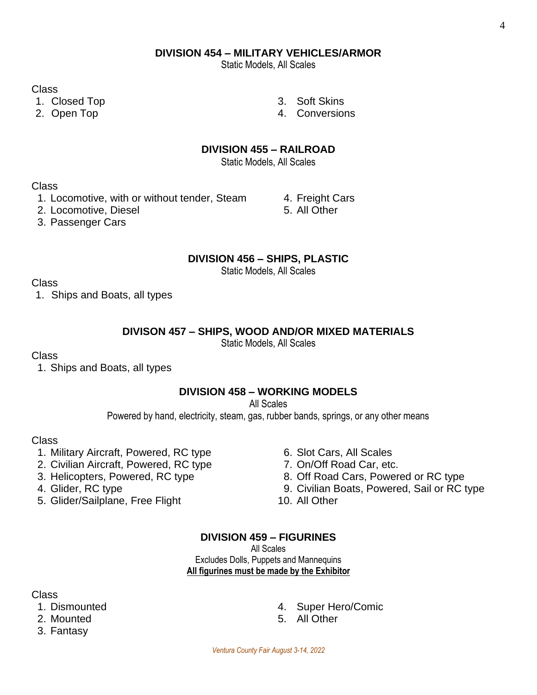Static Models, All Scales

Class

- 1. Closed Top 3. Soft Skins
- 
- 
- 2. Open Top **4. Conversions**

## **DIVISION 455 – RAILROAD**

Static Models, All Scales

Class

- 1. Locomotive, with or without tender, Steam 4. Freight Cars
- 2. Locomotive, Diesel 6. All Other
- 3. Passenger Cars

## **DIVISION 456 – SHIPS, PLASTIC**

Static Models, All Scales

## Class

1. Ships and Boats, all types

## **DIVISON 457 – SHIPS, WOOD AND/OR MIXED MATERIALS**

Static Models, All Scales

## Class

1. Ships and Boats, all types

## **DIVISION 458 – WORKING MODELS**

All Scales

Powered by hand, electricity, steam, gas, rubber bands, springs, or any other means

## Class

- 1. Military Aircraft, Powered, RC type 6. Slot Cars, All Scales
- 2. Civilian Aircraft, Powered, RC type 7. On/Off Road Car, etc.
- 
- 
- 5. Glider/Sailplane, Free Flight 10. All Other
- 
- 
- 3. Helicopters, Powered, RC type 8. Off Road Cars, Powered or RC type
- 4. Glider, RC type 9. Civilian Boats, Powered, Sail or RC type
	-

## **DIVISION 459 – FIGURINES**

All Scales Excludes Dolls, Puppets and Mannequins **All figurines must be made by the Exhibitor**

- 
- 
- 3. Fantasy
- 1. Dismounted 4. Super Hero/Comic
- 2. Mounted 5. All Other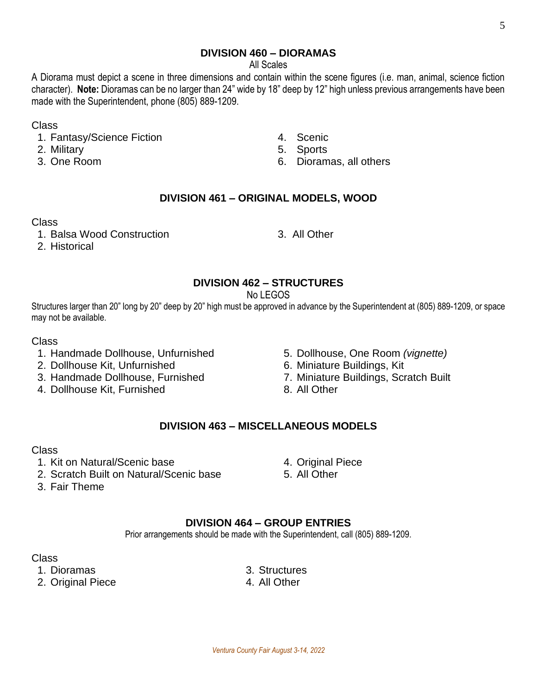### **DIVISION 460 – DIORAMAS**

All Scales

A Diorama must depict a scene in three dimensions and contain within the scene figures (i.e. man, animal, science fiction character). **Note:** Dioramas can be no larger than 24" wide by 18" deep by 12" high unless previous arrangements have been made with the Superintendent, phone (805) 889-1209.

#### Class

- 1. Fantasy/Science Fiction 4. Scenic
- 
- 
- 
- 2. Military 5. Sports
- 3. One Room 6. Dioramas, all others

## **DIVISION 461 – ORIGINAL MODELS, WOOD**

#### Class

1. Balsa Wood Construction 3. All Other

2. Historical

## **DIVISION 462 – STRUCTURES**

No LEGOS

Structures larger than 20" long by 20" deep by 20" high must be approved in advance by the Superintendent at (805) 889-1209, or space may not be available.

#### Class

- 1. Handmade Dollhouse, Unfurnished 5. Dollhouse, One Room *(vignette)*
- 2. Dollhouse Kit, Unfurnished 6. Miniature Buildings, Kit
- 3. Handmade Dollhouse, Furnished 7. Miniature Buildings, Scratch Built
- 4. Dollhouse Kit, Furnished 8. All Other
- 
- 
- -

## **DIVISION 463 – MISCELLANEOUS MODELS**

#### Class

- 
- 1. Kit on Natural/Scenic base 4. Original Piece<br>2. Scratch Built on Natural/Scenic base 5. All Other 2. Scratch Built on Natural/Scenic base
- 3. Fair Theme

## **DIVISION 464 – GROUP ENTRIES**

Prior arrangements should be made with the Superintendent, call (805) 889-1209.

Class

- 
- 2. Original Piece 4. All Other

1. Dioramas 3. Structures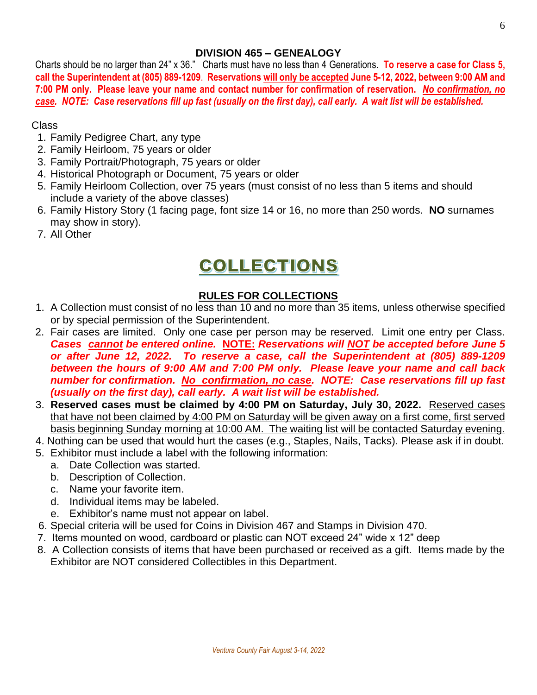## **DIVISION 465 – GENEALOGY**

Charts should be no larger than 24" x 36." Charts must have no less than 4 Generations. **To reserve a case for Class 5, call the Superintendent at (805) 889-1209**. **Reservations will only be accepted June 5-12, 2022, between 9:00 AM and 7:00 PM only. Please leave your name and contact number for confirmation of reservation.** *No confirmation, no case. NOTE: Case reservations fill up fast (usually on the first day), call early. A wait list will be established.*

## Class

- 1. Family Pedigree Chart, any type
- 2. Family Heirloom, 75 years or older
- 3. Family Portrait/Photograph, 75 years or older
- 4. Historical Photograph or Document, 75 years or older
- 5. Family Heirloom Collection, over 75 years (must consist of no less than 5 items and should include a variety of the above classes)
- 6. Family History Story (1 facing page, font size 14 or 16, no more than 250 words. **NO** surnames may show in story).
- 7. All Other

## COLLECTIONS

## **RULES FOR COLLECTIONS**

- 1. A Collection must consist of no less than 10 and no more than 35 items, unless otherwise specified or by special permission of the Superintendent.
- 2. Fair cases are limited. Only one case per person may be reserved. Limit one entry per Class. *Cases cannot be entered online.* **NOTE:** *Reservations will NOT be accepted before June 5 or after June 12, 2022. To reserve a case, call the Superintendent at (805) 889-1209 between the hours of 9:00 AM and 7:00 PM only. Please leave your name and call back number for confirmation. No confirmation, no case. NOTE: Case reservations fill up fast (usually on the first day), call early. A wait list will be established.*
- 3. **Reserved cases must be claimed by 4:00 PM on Saturday, July 30, 2022.** Reserved cases that have not been claimed by 4:00 PM on Saturday will be given away on a first come, first served basis beginning Sunday morning at 10:00 AM. The waiting list will be contacted Saturday evening.
- 4. Nothing can be used that would hurt the cases (e.g., Staples, Nails, Tacks). Please ask if in doubt.
- 5. Exhibitor must include a label with the following information:
	- a. Date Collection was started.
	- b. Description of Collection.
	- c. Name your favorite item.
	- d. Individual items may be labeled.
	- e. Exhibitor's name must not appear on label.
- 6. Special criteria will be used for Coins in Division 467 and Stamps in Division 470.
- 7. Items mounted on wood, cardboard or plastic can NOT exceed 24" wide x 12" deep
- 8. A Collection consists of items that have been purchased or received as a gift. Items made by the Exhibitor are NOT considered Collectibles in this Department.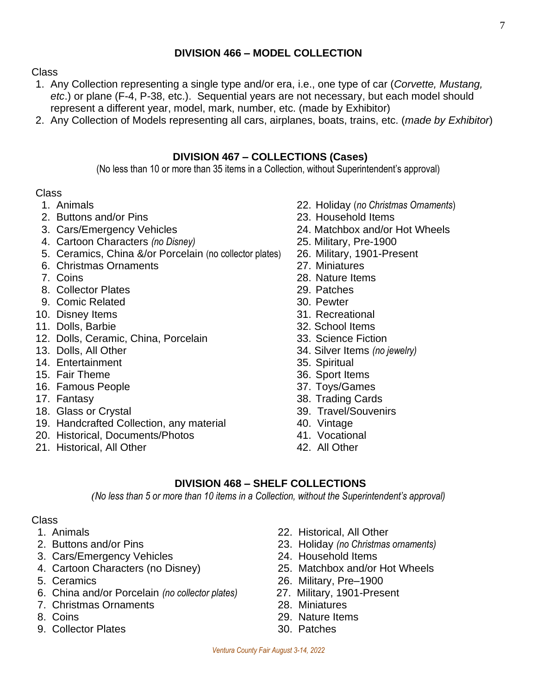## **DIVISION 466 – MODEL COLLECTION**

#### Class

- 1. Any Collection representing a single type and/or era, i.e., one type of car (*Corvette, Mustang, etc*.) or plane (F-4, P-38, etc.). Sequential years are not necessary, but each model should represent a different year, model, mark, number, etc. (made by Exhibitor)
- 2. Any Collection of Models representing all cars, airplanes, boats, trains, etc. (*made by Exhibitor*)

#### **DIVISION 467 – COLLECTIONS (Cases)**

(No less than 10 or more than 35 items in a Collection, without Superintendent's approval)

#### Class

- 
- 2. Buttons and/or Pins 23. Household Items
- 
- 4. Cartoon Characters *(no Disney)* 25. Military, Pre-1900
- 5. Ceramics, China &/or Porcelain (no collector plates) 26. Military, 1901-Present
- 6. Christmas Ornaments 27. Miniatures
- 
- 8. Collector Plates 29. Patches
- 9. Comic Related 30. Pewter
- 10. Disney Items 31. Recreational
- 11. Dolls, Barbie 32. School Items
- 12. Dolls, Ceramic, China, Porcelain 33. Science Fiction
- 
- 14. Entertainment 35. Spiritual
- 15. Fair Theme 36. Sport Items
- 16. Famous People 37. Toys/Games
- 
- 18. Glass or Crystal 39. Travel/Souvenirs
- 19. Handcrafted Collection, any material 40. Vintage
- 20. Historical, Documents/Photos 41. Vocational
- 21. Historical, All Other **42.** All Other
- 1. Animals 22. Holiday (*no Christmas Ornaments*)
	-
- 3. Cars/Emergency Vehicles 24. Matchbox and/or Hot Wheels
	-
	-
	-
- 7. Coins 28. Nature Items
	-
	-
	-
	-
	-
- 13. Dolls, All Other 34. Silver Items *(no jewelry)*
	-
	-
	-
- 17. Fantasy 38. Trading Cards
	-
	-
	-
	-

#### **DIVISION 468 – SHELF COLLECTIONS**

*(No less than 5 or more than 10 items in a Collection, without the Superintendent's approval)*

- 
- 
- 3. Cars/Emergency Vehicles 24. Household Items
- 
- 
- 5. Ceramics<br>
6. China and/or Porcelain (no collector plates) 27. Military, 1901-Present 6. China and/or Porcelain *(no collector plates)*
- 7. Christmas Ornaments 28. Miniatures
- 
- 9. Collector Plates 30. Patches
- 1. Animals 22. Historical, All Other
- 2. Buttons and/or Pins 23. Holiday *(no Christmas ornaments)*
	-
- 4. Cartoon Characters (no Disney) 25. Matchbox and/or Hot Wheels
	-
	-
	-
- 8. Coins 29. Nature Items
	-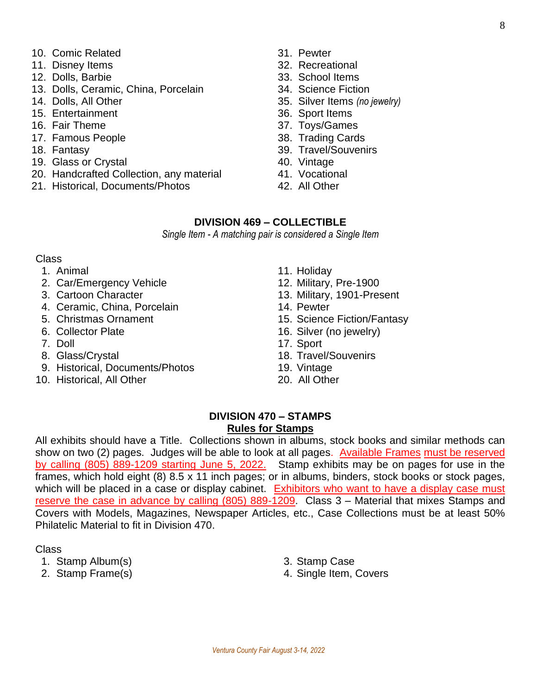- 10. Comic Related 31. Pewter
- 11. Disney Items 32. Recreational
- 12. Dolls, Barbie 33. School Items
- 13. Dolls, Ceramic, China, Porcelain 34. Science Fiction
- 
- 15. Entertainment 36. Sport Items
- 
- 17. Famous People 38. Trading Cards
- 
- 19. Glass or Crystal **40.** Vintage
- 20. Handcrafted Collection, any material 41. Vocational
- 21. Historical, Documents/Photos 42. All Other
- 
- 
- 
- 
- 14. Dolls, All Other 35. Silver Items *(no jewelry)*
	-
- 16. Fair Theme 37. Toys/Games
	-
- 18. Fantasy 39. Travel/Souvenirs
	-
	-
	-

#### **DIVISION 469 – COLLECTIBLE**

*Single Item - A matching pair is considered a Single Item*

#### Class

- 
- 2. Car/Emergency Vehicle 12. Military, Pre-1900
- 
- 4. Ceramic, China, Porcelain 14. Pewter
- 
- 
- 
- 
- 9. Historical, Documents/Photos 19. Vintage
- 10. Historical, All Other 20. All Other
- 1. Animal 11. Holiday
	-
- 3. Cartoon Character 13. Military, 1901-Present
	-
- 5. Christmas Ornament 15. Science Fiction/Fantasy
- 6. Collector Plate 16. Silver (no jewelry)
- 7. Doll 17. Sport
- 8. Glass/Crystal 18. Travel/Souvenirs
	-
	-

#### **DIVISION 470 – STAMPS Rules for Stamps**

All exhibits should have a Title. Collections shown in albums, stock books and similar methods can show on two (2) pages. Judges will be able to look at all pages. Available Frames must be reserved by calling (805) 889-1209 starting June 5, 2022. Stamp exhibits may be on pages for use in the frames, which hold eight (8) 8.5 x 11 inch pages; or in albums, binders, stock books or stock pages, which will be placed in a case or display cabinet. Exhibitors who want to have a display case must reserve the case in advance by calling (805) 889-1209. Class 3 – Material that mixes Stamps and Covers with Models, Magazines, Newspaper Articles, etc., Case Collections must be at least 50% Philatelic Material to fit in Division 470.

- 1. Stamp Album(s) 3. Stamp Case
- 
- 
- 2. Stamp Frame(s) 4. Single Item, Covers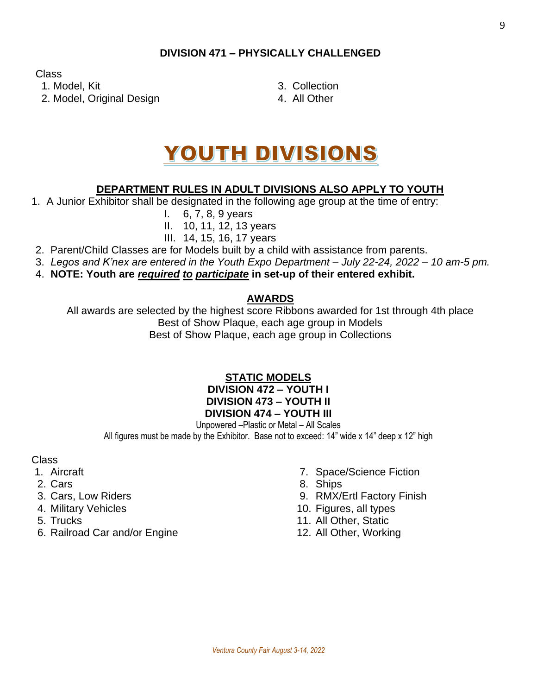## **DIVISION 471 – PHYSICALLY CHALLENGED**

Class

1. Model, Kit 3. Collection 2. Model, Original Design 2. Model, Original Design 4.

- 
- 

# YOUTH DIVISIONS

## **DEPARTMENT RULES IN ADULT DIVISIONS ALSO APPLY TO YOUTH**

- 1. A Junior Exhibitor shall be designated in the following age group at the time of entry:
	- I. 6, 7, 8, 9 years
	- II. 10, 11, 12, 13 years

## III. 14, 15, 16, 17 years

- 2. Parent/Child Classes are for Models built by a child with assistance from parents.
- 3. *Legos and K'nex are entered in the Youth Expo Department – July 22-24, 2022 – 10 am-5 pm.*
- 4. **NOTE: Youth are** *required to participate* **in set-up of their entered exhibit.**

## **AWARDS**

All awards are selected by the highest score Ribbons awarded for 1st through 4th place Best of Show Plaque, each age group in Models Best of Show Plaque, each age group in Collections

### **STATIC MODELS DIVISION 472 – YOUTH I DIVISION 473 – YOUTH II DIVISION 474 – YOUTH III**

Unpowered –Plastic or Metal – All Scales All figures must be made by the Exhibitor. Base not to exceed: 14" wide x 14" deep x 12" high

- 
- 
- 
- 
- 
- 6. Railroad Car and/or Engine 12. All Other, Working
- 1. Aircraft **7. Space/Science Fiction**
- 2. Cars 8. Ships
- 3. Cars, Low Riders 9. RMX/Ertl Factory Finish
- 4. Military Vehicles 10. Figures, all types
- 5. Trucks 11. All Other, Static
	-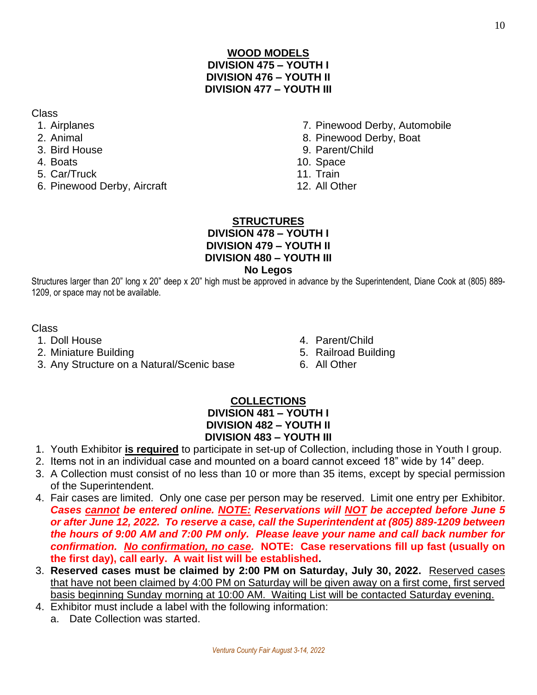## **WOOD MODELS DIVISION 475 – YOUTH I DIVISION 476 – YOUTH II DIVISION 477 – YOUTH III**

Class

- 
- 
- 
- 
- 5. Car/Truck 11. Train
- 6. Pinewood Derby, Aircraft 12. All Other
- 1. Airplanes 7. Pinewood Derby, Automobile
- 2. Animal 8. Pinewood Derby, Boat
- 3. Bird House 9. Parent/Child
- A. Boats **10. Space** 
	-
	-

## **STRUCTURES DIVISION 478 – YOUTH I DIVISION 479 – YOUTH II**

## **DIVISION 480 – YOUTH III**

## **No Legos**

Structures larger than 20" long x 20" deep x 20" high must be approved in advance by the Superintendent, Diane Cook at (805) 889- 1209, or space may not be available.

Class

- 
- 2. Miniature Building **5. Railroad Building**
- 3. Any Structure on a Natural/Scenic base 6. All Other
- 1. Doll House 4. Parent/Child
	-
	-

## **COLLECTIONS DIVISION 481 – YOUTH I DIVISION 482 – YOUTH II DIVISION 483 – YOUTH III**

- 1. Youth Exhibitor **is required** to participate in set-up of Collection, including those in Youth I group.
- 2. Items not in an individual case and mounted on a board cannot exceed 18" wide by 14" deep.
- 3. A Collection must consist of no less than 10 or more than 35 items, except by special permission of the Superintendent.
- 4. Fair cases are limited. Only one case per person may be reserved. Limit one entry per Exhibitor. *Cases cannot be entered online. NOTE: Reservations will NOT be accepted before June 5 or after June 12, 2022. To reserve a case, call the Superintendent at (805) 889-1209 between the hours of 9:00 AM and 7:00 PM only. Please leave your name and call back number for confirmation. No confirmation, no case.* **NOTE: Case reservations fill up fast (usually on the first day), call early. A wait list will be established.**
- 3. **Reserved cases must be claimed by 2:00 PM on Saturday, July 30, 2022.** Reserved cases that have not been claimed by 4:00 PM on Saturday will be given away on a first come, first served basis beginning Sunday morning at 10:00 AM. Waiting List will be contacted Saturday evening.
- 4. Exhibitor must include a label with the following information:
	- a. Date Collection was started.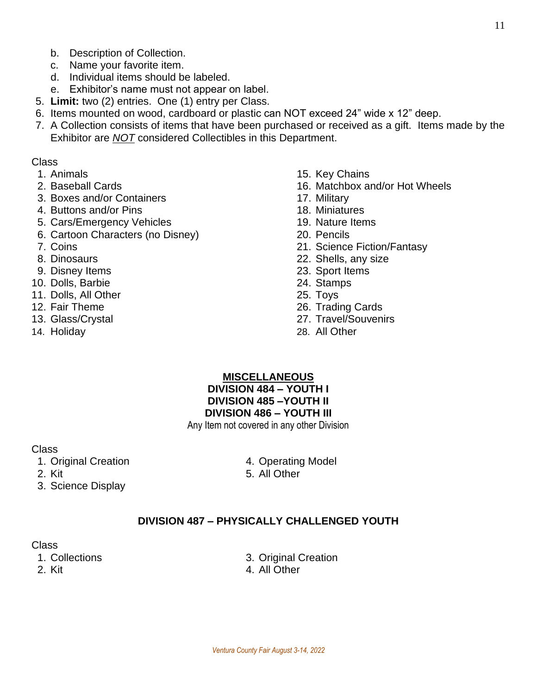c. Name your favorite item.

b. Description of Collection.

- d. Individual items should be labeled.
- e. Exhibitor's name must not appear on label.
- 5. **Limit:** two (2) entries. One (1) entry per Class.
- 6. Items mounted on wood, cardboard or plastic can NOT exceed 24" wide x 12" deep.
- 7. A Collection consists of items that have been purchased or received as a gift. Items made by the Exhibitor are *NOT* considered Collectibles in this Department.

#### Class

- 
- 
- 3. Boxes and/or Containers 17. Military
- 4. Buttons and/or Pins 18. Miniatures
- 5. Cars/Emergency Vehicles 19. Nature Items
- 6. Cartoon Characters (no Disney) 20. Pencils
- 
- 
- 9. Disney Items 23. Sport Items
- 10. Dolls, Barbie 24. Stamps
- 11. Dolls, All Other 25. Toys
- 
- 
- 
- 1. Animals 15. Key Chains
- 2. Baseball Cards 16. Matchbox and/or Hot Wheels
	-
	-
	-
	-
- 7. Coins 21. Science Fiction/Fantasy
- 8. Dinosaurs 22. Shells, any size
	-
	-
	-
- 12. Fair Theme 26. Trading Cards
- 13. Glass/Crystal 27. Travel/Souvenirs
- 14. Holiday 28. All Other

#### **MISCELLANEOUS**

**DIVISION 484 – YOUTH I DIVISION 485 –YOUTH II DIVISION 486 – YOUTH III**

Any Item not covered in any other Division

#### Class

- 1. Original Creation **4. Operating Model**
- 
- 3. Science Display

2. Kit 5. All Other

## **DIVISION 487 – PHYSICALLY CHALLENGED YOUTH**

- 
- 
- 1. Collections 3. Original Creation
- 2. Kit 4. All Other